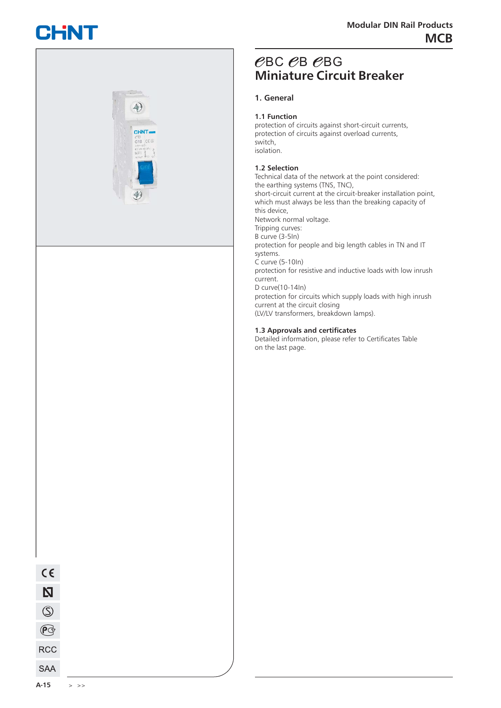# CHNT



## **Miniature Circuit Breaker**  $\mathcal C$ BC  $\mathcal C$ BG

protection of circuits against short-circuit currents, protection of circuits against overload currents,

Technical data of the network at the point considered: the earthing systems (TNS, TNC), short-circuit current at the circuit-breaker installation point, which must always be less than the breaking capacity of Network normal voltage. Tripping curves: C curve (5-10In) D curve(10-14In) protection for people and big length cables in TN and IT protection for resistive and inductive loads with low inrush

protection for circuits which supply loads with high inrush current at the circuit closing (LV/LV transformers, breakdown lamps).

#### **1.3 Approvals and certificates**

Detailed information, please refer to Certificates Table on the last page.

 $(5)$ 

 $\mathbb{P}$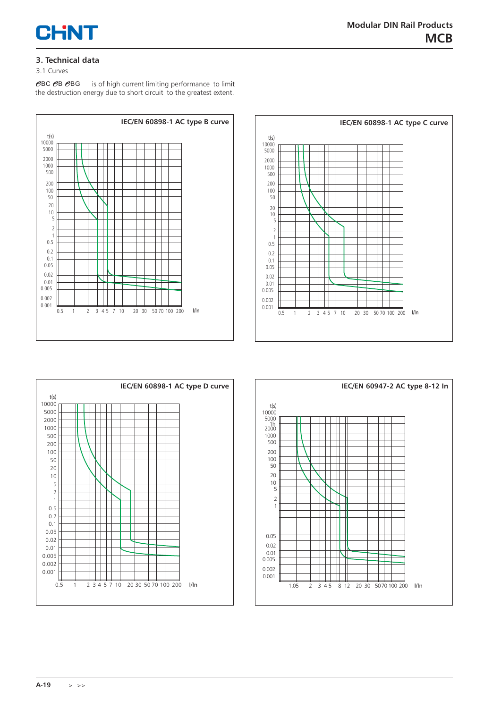

#### **3. Technical data**

#### 3.1 Curves

 is of high current limiting performance to limit the destruction energy due to short circuit to the greatest extent.  $\mathscr{C}$ BC  $\mathscr{C}$ B $\mathscr{C}$ BG